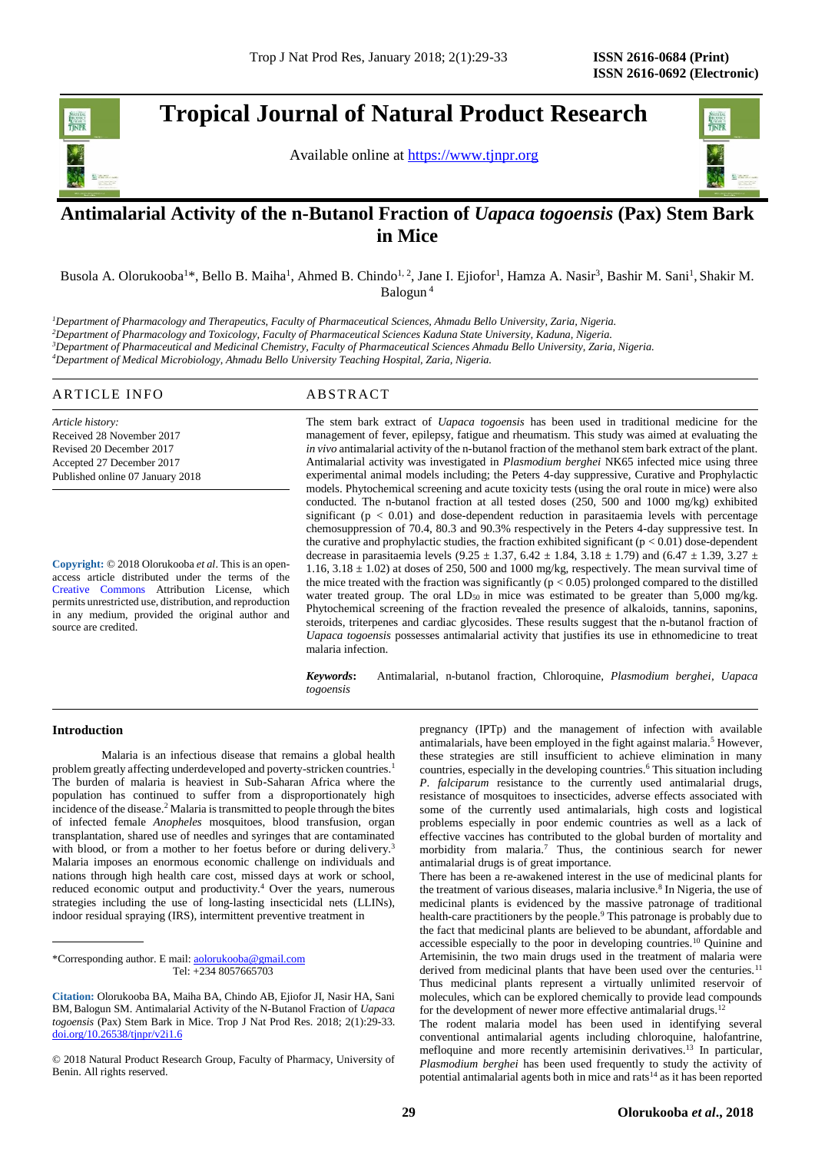# **Tropical Journal of Natural Product Research**





## . **Antimalarial Activity of the n-Butanol Fraction of** *Uapaca togoensis* **(Pax) Stem Bark in Mice**

Busola A. Olorukooba<sup>1\*</sup>, Bello B. Maiha<sup>1</sup>, Ahmed B. Chindo<sup>1,2</sup>, Jane I. Ejiofor<sup>1</sup>, Hamza A. Nasir<sup>3</sup>, Bashir M. Sani<sup>1</sup>, Shakir M. Balogun <sup>4</sup>

*Department of Pharmacology and Therapeutics, Faculty of Pharmaceutical Sciences, Ahmadu Bello University, Zaria, Nigeria. Department of Pharmacology and Toxicology, Faculty of Pharmaceutical Sciences Kaduna State University, Kaduna, Nigeria. Department of Pharmaceutical and Medicinal Chemistry, Faculty of Pharmaceutical Sciences Ahmadu Bello University, Zaria, Nigeria. Department of Medical Microbiology, Ahmadu Bello University Teaching Hospital, Zaria, Nigeria.*

#### ARTICLE INFO ABSTRACT

*Article history:* Received 28 November 2017 Revised 20 December 2017 Accepted 27 December 2017 Published online 07 January 2018

**Copyright:** © 2018 Olorukooba *et al*. This is an openaccess article distributed under the terms of the [Creative Commons](https://creativecommons.org/licenses/by/4.0/) Attribution License, which permits unrestricted use, distribution, and reproduction in any medium, provided the original author and source are credited.

The stem bark extract of *Uapaca togoensis* has been used in traditional medicine for the management of fever, epilepsy, fatigue and rheumatism. This study was aimed at evaluating the *in vivo* antimalarial activity of the n-butanol fraction of the methanol stem bark extract of the plant. Antimalarial activity was investigated in *Plasmodium berghei* NK65 infected mice using three experimental animal models including; the Peters 4-day suppressive, Curative and Prophylactic models. Phytochemical screening and acute toxicity tests (using the oral route in mice) were also conducted. The n-butanol fraction at all tested doses (250, 500 and 1000 mg/kg) exhibited significant ( $p < 0.01$ ) and dose-dependent reduction in parasitaemia levels with percentage chemosuppression of 70.4, 80.3 and 90.3% respectively in the Peters 4-day suppressive test. In the curative and prophylactic studies, the fraction exhibited significant ( $p < 0.01$ ) dose-dependent decrease in parasitaemia levels (9.25  $\pm$  1.37, 6.42  $\pm$  1.84, 3.18  $\pm$  1.79) and (6.47  $\pm$  1.39, 3.27  $\pm$ 1.16,  $3.18 \pm 1.02$ ) at doses of 250, 500 and 1000 mg/kg, respectively. The mean survival time of the mice treated with the fraction was significantly ( $p < 0.05$ ) prolonged compared to the distilled water treated group. The oral LD<sub>50</sub> in mice was estimated to be greater than 5,000 mg/kg. Phytochemical screening of the fraction revealed the presence of alkaloids, tannins, saponins, steroids, triterpenes and cardiac glycosides. These results suggest that the n-butanol fraction of *Uapaca togoensis* possesses antimalarial activity that justifies its use in ethnomedicine to treat malaria infection.

*Keywords***:** Antimalarial, n-butanol fraction, Chloroquine*, Plasmodium berghei*, *Uapaca togoensis*

#### **Introduction**

Malaria is an infectious disease that remains a global health problem greatly affecting underdeveloped and poverty-stricken countries.<sup>1</sup> The burden of malaria is heaviest in Sub-Saharan Africa where the population has continued to suffer from a disproportionately high incidence of the disease.<sup>2</sup> Malaria is transmitted to people through the bites of infected female *Anopheles* mosquitoes, blood transfusion, organ transplantation, shared use of needles and syringes that are contaminated with blood, or from a mother to her foetus before or during delivery.<sup>3</sup> Malaria imposes an enormous economic challenge on individuals and nations through high health care cost, missed days at work or school, reduced economic output and productivity.<sup>4</sup> Over the years, numerous strategies including the use of long-lasting insecticidal nets (LLINs), indoor residual spraying (IRS), intermittent preventive treatment in

\*Corresponding author. E mail[: aolorukooba@gmail.com](mailto:aolorukooba@gmail.com) Tel: +234 8057665703

© 2018 Natural Product Research Group, Faculty of Pharmacy, University of Benin. All rights reserved.

pregnancy (IPTp) and the management of infection with available antimalarials, have been employed in the fight against malaria. <sup>5</sup> However, these strategies are still insufficient to achieve elimination in many countries, especially in the developing countries.<sup>6</sup> This situation including *P*. *falciparum* resistance to the currently used antimalarial drugs, resistance of mosquitoes to insecticides, adverse effects associated with some of the currently used antimalarials, high costs and logistical problems especially in poor endemic countries as well as a lack of effective vaccines has contributed to the global burden of mortality and morbidity from malaria.<sup>7</sup> Thus, the continious search for newer antimalarial drugs is of great importance.

There has been a re-awakened interest in the use of medicinal plants for the treatment of various diseases, malaria inclusive.<sup>8</sup> In Nigeria, the use of medicinal plants is evidenced by the massive patronage of traditional health-care practitioners by the people.<sup>9</sup> This patronage is probably due to the fact that medicinal plants are believed to be abundant, affordable and accessible especially to the poor in developing countries.<sup>10</sup> Quinine and Artemisinin, the two main drugs used in the treatment of malaria were derived from medicinal plants that have been used over the centuries.<sup>11</sup> Thus medicinal plants represent a virtually unlimited reservoir of molecules, which can be explored chemically to provide lead compounds for the development of newer more effective antimalarial drugs.<sup>12</sup>

The rodent malaria model has been used in identifying several conventional antimalarial agents including chloroquine, halofantrine, mefloquine and more recently artemisinin derivatives.<sup>13</sup> In particular, *Plasmodium berghei* has been used frequently to study the activity of potential antimalarial agents both in mice and rats<sup>14</sup> as it has been reported

**Citation:** Olorukooba BA, Maiha BA, Chindo AB, Ejiofor JI, Nasir HA, Sani BM, Balogun SM. Antimalarial Activity of the N-Butanol Fraction of *Uapaca togoensis* (Pax) Stem Bark in Mice. Trop J Nat Prod Res. 2018; 2(1):29-33. [doi.org/10.26538/tjnpr/v2i1.6](http://www.doi.org/10.26538/tjnpr/v1i4.5)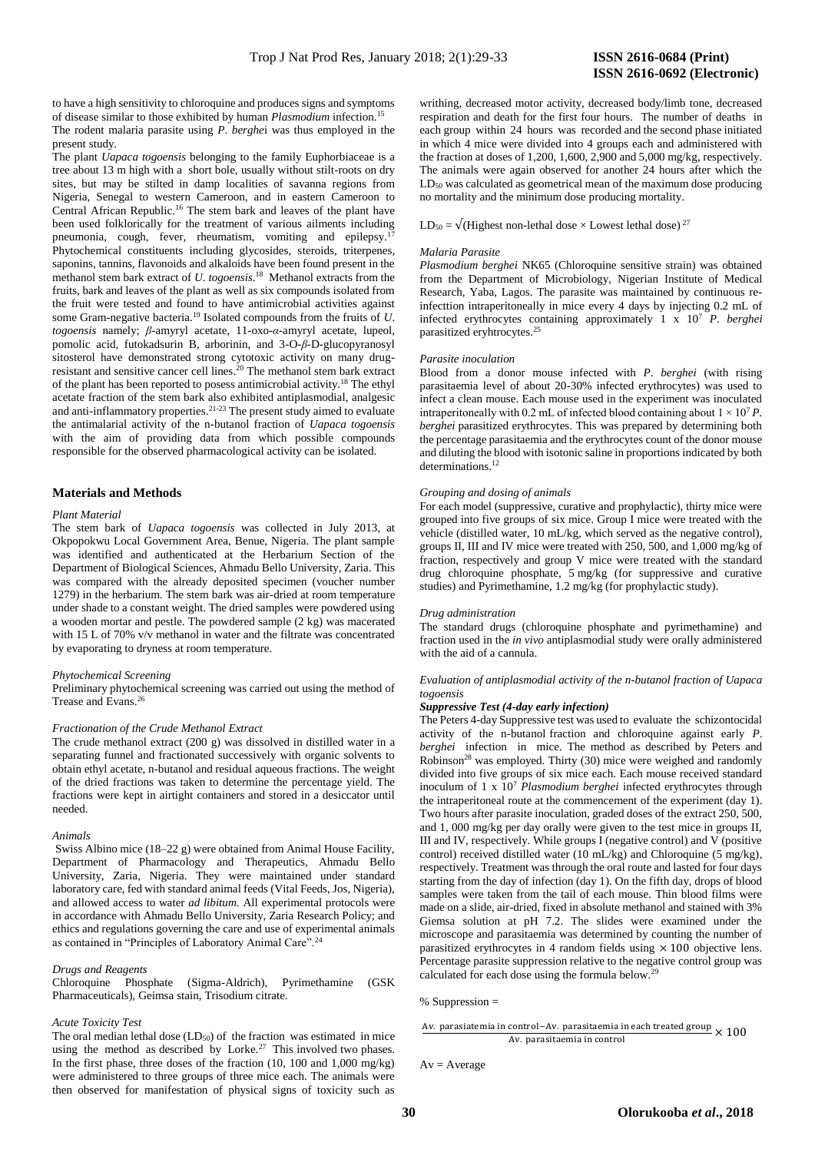to have a high sensitivity to chloroquine and produces signs and symptoms of disease similar to those exhibited by human *Plasmodium* infection.<sup>15</sup> The rodent malaria parasite using *P*. *berghe*i was thus employed in the present study.

The plant *Uapaca togoensis* belonging to the family Euphorbiaceae is a tree about 13 m high with a short bole, usually without stilt-roots on dry sites, but may be stilted in damp localities of savanna regions from Nigeria, Senegal to western Cameroon, and in eastern Cameroon to Central African Republic.<sup>16</sup> The stem bark and leaves of the plant have been used folklorically for the treatment of various ailments including pneumonia, cough, fever, rheumatism, vomiting and epilepsy. Phytochemical constituents including glycosides, steroids, triterpenes, saponins, tannins, flavonoids and alkaloids have been found present in the methanol stem bark extract of *U. togoensis*. 18 Methanol extracts from the fruits, bark and leaves of the plant as well as six compounds isolated from the fruit were tested and found to have antimicrobial activities against some Gram-negative bacteria.<sup>19</sup> Isolated compounds from the fruits of *U*. *togoensis* namely; *β*-amyryl acetate, 11-oxo-*α*-amyryl acetate, lupeol, pomolic acid, futokadsurin B, arborinin, and 3-O-*β*-D-glucopyranosyl sitosterol have demonstrated strong cytotoxic activity on many drugresistant and sensitive cancer cell lines. <sup>20</sup> The methanol stem bark extract of the plant has been reported to posess antimicrobial activity.<sup>18</sup> The ethyl acetate fraction of the stem bark also exhibited antiplasmodial, analgesic and anti-inflammatory properties.<sup>21-23</sup> The present study aimed to evaluate the antimalarial activity of the n-butanol fraction of *Uapaca togoensis*  with the aim of providing data from which possible compounds responsible for the observed pharmacological activity can be isolated.

#### **Materials and Methods**

#### *Plant Material*

The stem bark of *Uapaca togoensis* was collected in July 2013, at Okpopokwu Local Government Area, Benue, Nigeria. The plant sample was identified and authenticated at the Herbarium Section of the Department of Biological Sciences, Ahmadu Bello University, Zaria. This was compared with the already deposited specimen (voucher number 1279) in the herbarium. The stem bark was air-dried at room temperature under shade to a constant weight. The dried samples were powdered using a wooden mortar and pestle. The powdered sample (2 kg) was macerated with 15 L of 70% v/v methanol in water and the filtrate was concentrated by evaporating to dryness at room temperature.

#### *Phytochemical Screening*

Preliminary phytochemical screening was carried out using the method of Trease and Evans.<sup>26</sup>

#### *Fractionation of the Crude Methanol Extract*

The crude methanol extract (200 g) was dissolved in distilled water in a separating funnel and fractionated successively with organic solvents to obtain ethyl acetate, n-butanol and residual aqueous fractions. The weight of the dried fractions was taken to determine the percentage yield. The fractions were kept in airtight containers and stored in a desiccator until needed.

#### *Animals*

Swiss Albino mice (18–22 g) were obtained from Animal House Facility, Department of Pharmacology and Therapeutics, Ahmadu Bello University, Zaria, Nigeria. They were maintained under standard laboratory care, fed with standard animal feeds (Vital Feeds, Jos, Nigeria), and allowed access to water *ad libitum.* All experimental protocols were in accordance with Ahmadu Bello University, Zaria Research Policy; and ethics and regulations governing the care and use of experimental animals as contained in "Principles of Laboratory Animal Care".<sup>24</sup>

### *Drugs and Reagents*

Chloroquine Phosphate (Sigma-Aldrich), Pyrimethamine (GSK Pharmaceuticals), Geimsa stain, Trisodium citrate.

#### *Acute Toxicity Test*

The oral median lethal dose (LD<sub>50</sub>) of the fraction was estimated in mice using the method as described by Lorke.<sup>27</sup> This involved two phases. In the first phase, three doses of the fraction (10, 100 and 1,000 mg/kg) were administered to three groups of three mice each. The animals were then observed for manifestation of physical signs of toxicity such as

writhing, decreased motor activity, decreased body/limb tone, decreased respiration and death for the first four hours. The number of deaths in each group within 24 hours was recorded and the second phase initiated in which 4 mice were divided into 4 groups each and administered with the fraction at doses of 1,200, 1,600, 2,900 and 5,000 mg/kg, respectively. The animals were again observed for another 24 hours after which the LD<sub>50</sub> was calculated as geometrical mean of the maximum dose producing no mortality and the minimum dose producing mortality.

LD<sub>50</sub> =  $\sqrt{\text{(Highest non-lethal dose)} \times \text{Lowest lethal dose}})^{27}$ 

#### *Malaria Parasite*

*Plasmodium berghei* NK65 (Chloroquine sensitive strain) was obtained from the Department of Microbiology, Nigerian Institute of Medical Research, Yaba, Lagos. The parasite was maintained by continuous reinfecttion intraperitoneally in mice every 4 days by injecting 0.2 mL of infected erythrocytes containing approximately 1 x 10<sup>7</sup> *P*. *berghei* parasitized eryhtrocytes. 25

#### *Parasite inoculation*

Blood from a donor mouse infected with *P*. *berghei* (with rising parasitaemia level of about 20-30% infected erythrocytes) was used to infect a clean mouse. Each mouse used in the experiment was inoculated intraperitoneally with 0.2 mL of infected blood containing about  $1 \times 10^7 P$ . *berghei* parasitized erythrocytes. This was prepared by determining both the percentage parasitaemia and the erythrocytes count of the donor mouse and diluting the blood with isotonic saline in proportions indicated by both determinations.<sup>12</sup>

#### *Grouping and dosing of animals*

For each model (suppressive, curative and prophylactic), thirty mice were grouped into five groups of six mice. Group I mice were treated with the vehicle (distilled water, 10 mL/kg, which served as the negative control), groups II, III and IV mice were treated with 250, 500, and 1,000 mg/kg of fraction, respectively and group V mice were treated with the standard drug chloroquine phosphate, 5 mg/kg (for suppressive and curative studies) and Pyrimethamine, 1.2 mg/kg (for prophylactic study).

#### *Drug administration*

The standard drugs (chloroquine phosphate and pyrimethamine) and fraction used in the *in vivo* antiplasmodial study were orally administered with the aid of a cannula.

#### *Evaluation of antiplasmodial activity of the n-butanol fraction of Uapaca togoensis*

#### *Suppressive Test (4-day early infection)*

The Peters 4-day Suppressive test was used to evaluate the schizontocidal activity of the n-butanol fraction and chloroquine against early *P*. *berghei* infection in mice. The method as described by Peters and Robinson<sup>28</sup> was employed. Thirty  $(30)$  mice were weighed and randomly divided into five groups of six mice each. Each mouse received standard inoculum of 1 x 10<sup>7</sup> *Plasmodium berghei* infected erythrocytes through the intraperitoneal route at the commencement of the experiment (day 1). Two hours after parasite inoculation, graded doses of the extract 250, 500, and 1, 000 mg/kg per day orally were given to the test mice in groups II, III and IV, respectively. While groups I (negative control) and V (positive control) received distilled water  $(10 \text{ mL/kg})$  and Chloroquine  $(5 \text{ mg/kg})$ , respectively. Treatment was through the oral route and lasted for four days starting from the day of infection (day 1). On the fifth day, drops of blood samples were taken from the tail of each mouse. Thin blood films were made on a slide, air-dried, fixed in absolute methanol and stained with 3% Giemsa solution at pH 7.2. The slides were examined under the microscope and parasitaemia was determined by counting the number of parasitized erythrocytes in 4 random fields using  $\times$  100 objective lens. Percentage parasite suppression relative to the negative control group was calculated for each dose using the formula below.<sup>2</sup>

```
% Suppression =
```
Av. parasiatemia in control−Av. parasitaemia in each treated group × 100 Av. parasitaemia in control

```
Av = Average
```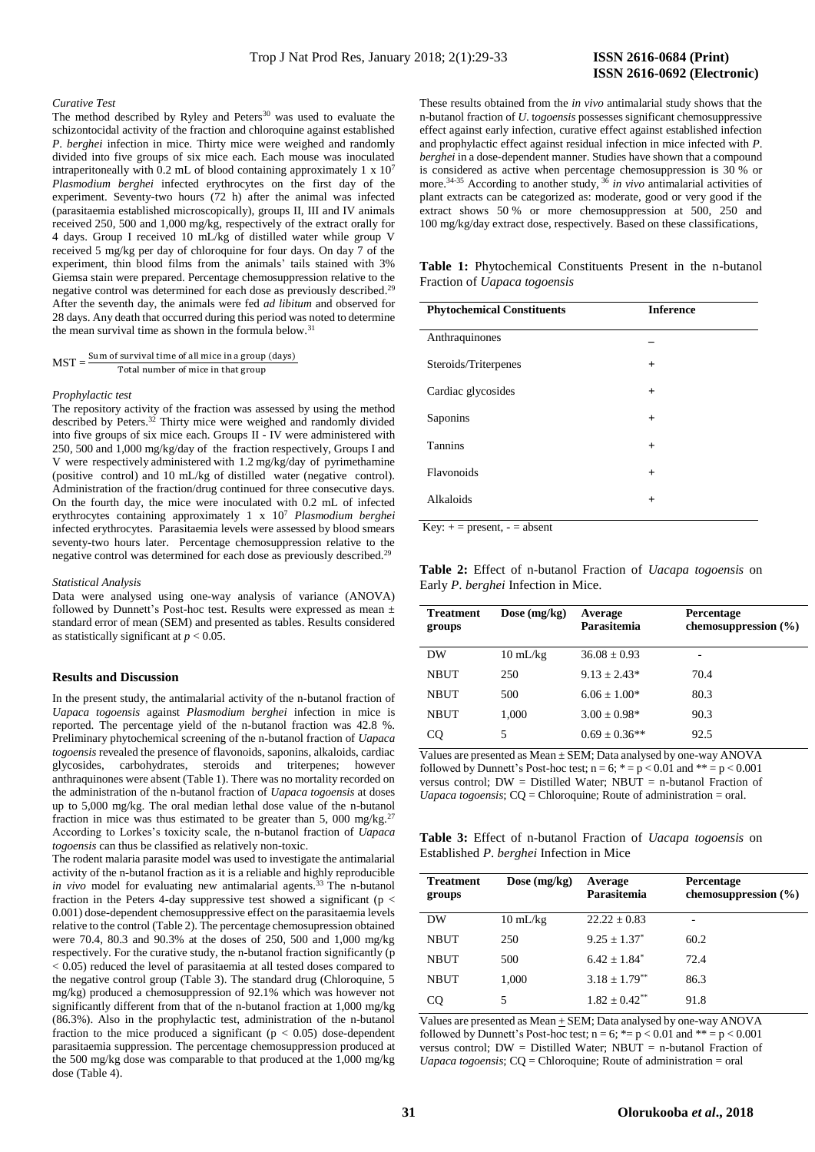#### *Curative Test*

The method described by Ryley and Peters<sup>30</sup> was used to evaluate the schizontocidal activity of the fraction and chloroquine against established *P*. *berghei* infection in mice. Thirty mice were weighed and randomly divided into five groups of six mice each. Each mouse was inoculated intraperitoneally with 0.2 mL of blood containing approximately 1 x 10<sup>7</sup> *Plasmodium berghei* infected erythrocytes on the first day of the experiment. Seventy-two hours (72 h) after the animal was infected (parasitaemia established microscopically), groups II, III and IV animals received 250, 500 and 1,000 mg/kg, respectively of the extract orally for 4 days. Group I received 10 mL/kg of distilled water while group V received 5 mg/kg per day of chloroquine for four days. On day 7 of the experiment, thin blood films from the animals' tails stained with 3% Giemsa stain were prepared. Percentage chemosuppression relative to the negative control was determined for each dose as previously described.<sup>29</sup> After the seventh day, the animals were fed *ad libitum* and observed for 28 days. Any death that occurred during this period was noted to determine the mean survival time as shown in the formula below.<sup>31</sup>

$$
MST = \frac{Sum of survival time of all mice in a group (days)}{Total number of mice in that group}
$$

#### *Prophylactic test*

The repository activity of the fraction was assessed by using the method described by Peters.<sup>32</sup> Thirty mice were weighed and randomly divided into five groups of six mice each. Groups II - IV were administered with 250, 500 and 1,000 mg/kg/day of the fraction respectively, Groups I and V were respectively administered with 1.2 mg/kg/day of pyrimethamine (positive control) and 10 mL/kg of distilled water (negative control). Administration of the fraction/drug continued for three consecutive days. On the fourth day, the mice were inoculated with 0.2 mL of infected erythrocytes containing approximately 1 x 10<sup>7</sup> *Plasmodium berghei*  infected erythrocytes. Parasitaemia levels were assessed by blood smears seventy-two hours later. Percentage chemosuppression relative to the negative control was determined for each dose as previously described.<sup>29</sup>

#### *Statistical Analysis*

Data were analysed using one-way analysis of variance (ANOVA) followed by Dunnett's Post-hoc test. Results were expressed as mean ± standard error of mean (SEM) and presented as tables. Results considered as statistically significant at *p* < 0.05.

#### **Results and Discussion**

In the present study, the antimalarial activity of the n-butanol fraction of *Uapaca togoensis* against *Plasmodium berghei* infection in mice is reported. The percentage yield of the n-butanol fraction was 42.8 %. Preliminary phytochemical screening of the n-butanol fraction of *Uapaca togoensis* revealed the presence of flavonoids, saponins, alkaloids, cardiac glycosides, carbohydrates, steroids and triterpenes; however anthraquinones were absent (Table 1). There was no mortality recorded on the administration of the n-butanol fraction of *Uapaca togoensis* at doses up to 5,000 mg/kg. The oral median lethal dose value of the n-butanol fraction in mice was thus estimated to be greater than 5, 000 mg/kg.<sup>27</sup> According to Lorkes's toxicity scale, the n-butanol fraction of *Uapaca togoensis* can thus be classified as relatively non-toxic.

The rodent malaria parasite model was used to investigate the antimalarial activity of the n-butanol fraction as it is a reliable and highly reproducible *in vivo* model for evaluating new antimalarial agents.<sup>33</sup> The n-butanol fraction in the Peters 4-day suppressive test showed a significant ( $p <$ 0.001) dose-dependent chemosuppressive effect on the parasitaemia levels relative to the control (Table 2). The percentage chemosupression obtained were 70.4, 80.3 and 90.3% at the doses of 250, 500 and 1,000 mg/kg respectively. For the curative study, the n-butanol fraction significantly  $(p)$ < 0.05) reduced the level of parasitaemia at all tested doses compared to the negative control group (Table 3). The standard drug (Chloroquine, 5 mg/kg) produced a chemosuppression of 92.1% which was however not significantly different from that of the n-butanol fraction at 1,000 mg/kg (86.3%). Also in the prophylactic test, administration of the n-butanol fraction to the mice produced a significant ( $p < 0.05$ ) dose-dependent parasitaemia suppression. The percentage chemosuppression produced at the 500 mg/kg dose was comparable to that produced at the 1,000 mg/kg dose (Table 4).

These results obtained from the *in vivo* antimalarial study shows that the n-butanol fraction of *U*. t*ogoensis* possesses significant chemosuppressive effect against early infection, curative effect against established infection and prophylactic effect against residual infection in mice infected with *P*. *berghei* in a dose-dependent manner. Studies have shown that a compound is considered as active when percentage chemosuppression is 30 % or more.34-35 According to another study, <sup>36</sup> *in vivo* antimalarial activities of plant extracts can be categorized as: moderate, good or very good if the extract shows 50 % or more chemosuppression at 500, 250 and 100 mg/kg/day extract dose, respectively. Based on these classifications,

**Table 1:** Phytochemical Constituents Present in the n-butanol Fraction of *Uapaca togoensis*

| <b>Inference</b> |
|------------------|
|                  |
| $\ddot{}$        |
| $^{+}$           |
| $^{+}$           |
| $^{+}$           |
| $^{+}$           |
| $+$              |
|                  |

 $Key: += present, - = absent$ 

**Table 2:** Effect of n-butanol Fraction of *Uacapa togoensis* on Early *P*. *berghei* Infection in Mice.

| <b>Treatment</b><br>groups | Dose $(mg/kg)$     | Average<br>Parasitemia | Percentage<br>chemosuppression $(\% )$ |
|----------------------------|--------------------|------------------------|----------------------------------------|
| DW                         | $10 \text{ mL/kg}$ | $36.08 + 0.93$         |                                        |
| <b>NBUT</b>                | 250                | $9.13 + 2.43*$         | 70.4                                   |
| NBUT                       | 500                | $6.06 + 1.00*$         | 80.3                                   |
| NBUT                       | 1.000              | $3.00 + 0.98*$         | 90.3                                   |
| <b>CQ</b>                  | 5.                 | $0.69 \pm 0.36**$      | 92.5                                   |

Values are presented as Mean ± SEM; Data analysed by one-way ANOVA followed by Dunnett's Post-hoc test;  $n = 6$ ;  $* = p < 0.01$  and  $** = p < 0.001$ versus control;  $DW = Distilled Water$ ; NBUT = n-butanol Fraction of *Uapaca togoensis*; CQ = Chloroquine; Route of administration = oral.

**Table 3:** Effect of n-butanol Fraction of *Uacapa togoensis* on Established *P*. *berghei* Infection in Mice

| <b>Treatment</b><br>groups | Dose $(mg/kg)$     | Average<br>Parasitemia        | <b>Percentage</b><br>chemosuppression $(\% )$ |
|----------------------------|--------------------|-------------------------------|-----------------------------------------------|
| DW                         | $10 \text{ mL/kg}$ | $22.22 + 0.83$                |                                               |
| <b>NBUT</b>                | 250                | $9.25 + 1.37^*$               | 60.2                                          |
| <b>NBUT</b>                | 500                | $6.42 \pm 1.84$ <sup>*</sup>  | 72.4                                          |
| <b>NBUT</b>                | 1,000              | $3.18 \pm 1.79$ <sup>**</sup> | 86.3                                          |
| CO.                        | 5                  | $1.82 + 0.42$ **              | 91.8                                          |

Values are presented as Mean  $\pm$  SEM; Data analysed by one-way ANOVA followed by Dunnett's Post-hoc test;  $n = 6$ ;  $* = p < 0.01$  and  $** = p < 0.001$ versus control;  $DW = Distilled Water$ ; NBUT = n-butanol Fraction of *Uapaca togoensis*; CQ = Chloroquine; Route of administration = oral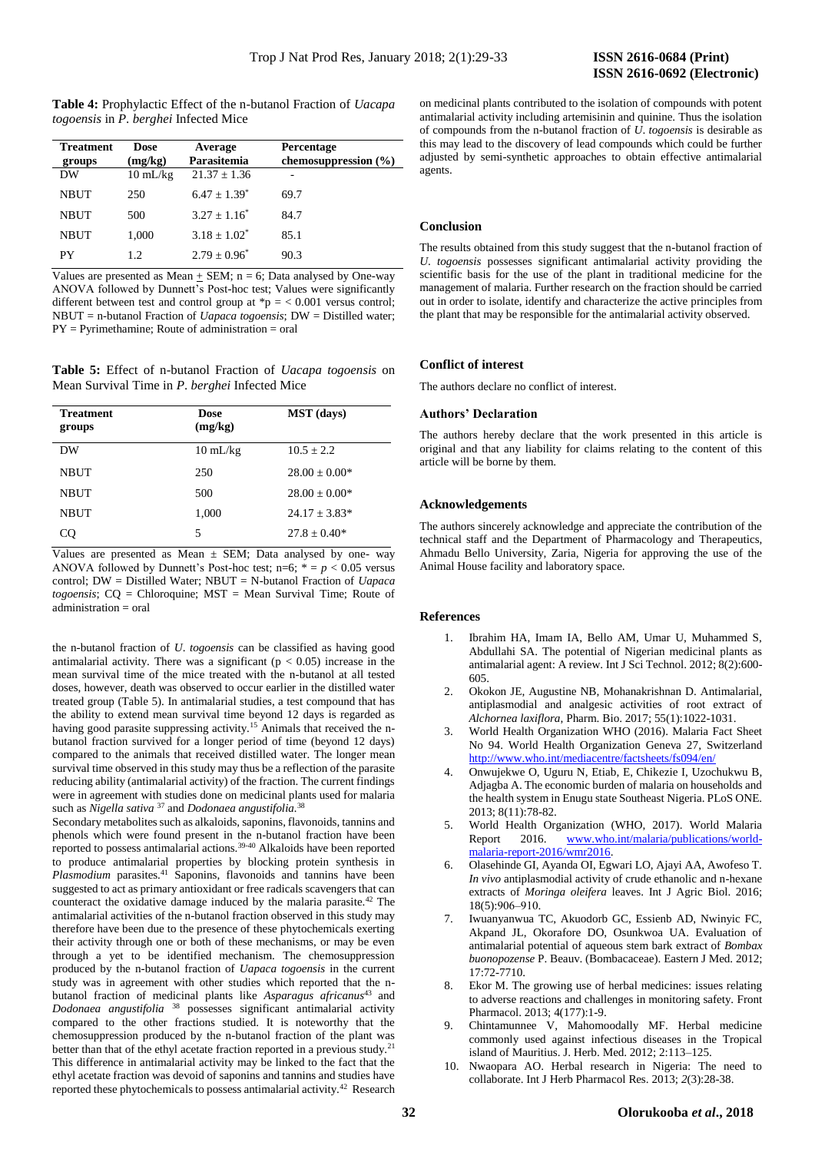**Table 4:** Prophylactic Effect of the n-butanol Fraction of *Uacapa togoensis* in *P*. *berghei* Infected Mice

| <b>Treatment</b><br>groups | Dose<br>(mg/kg)    | Average<br>Parasitemia | <b>Percentage</b><br>chemosuppression $(\% )$ |
|----------------------------|--------------------|------------------------|-----------------------------------------------|
| DW                         | $10 \text{ mL/kg}$ | $21.37 \pm 1.36$       |                                               |
| <b>NBUT</b>                | 250                | $6.47 + 1.39^*$        | 69.7                                          |
| <b>NBUT</b>                | 500                | $3.27 + 1.16^*$        | 84.7                                          |
| <b>NBUT</b>                | 1.000              | $3.18 \pm 1.02^*$      | 85.1                                          |
| PY                         | 1.2.               | $2.79 + 0.96^*$        | 90.3                                          |

Values are presented as Mean  $\pm$  SEM; n = 6; Data analysed by One-way ANOVA followed by Dunnett's Post-hoc test; Values were significantly different between test and control group at  $\spadesuit p = 0.001$  versus control; NBUT = n-butanol Fraction of *Uapaca togoensis*; DW = Distilled water; PY = Pyrimethamine; Route of administration = oral

**Table 5:** Effect of n-butanol Fraction of *Uacapa togoensis* on Mean Survival Time in *P*. *berghei* Infected Mice

| <b>Treatment</b><br>groups | Dose<br>(mg/kg)    | <b>MST</b> (days) |
|----------------------------|--------------------|-------------------|
| DW                         | $10 \text{ mL/kg}$ | $10.5 + 2.2$      |
| <b>NBUT</b>                | 250                | $28.00 + 0.00*$   |
| <b>NBUT</b>                | 500                | $28.00 + 0.00*$   |
| <b>NBUT</b>                | 1,000              | $24.17 + 3.83*$   |
| CO                         | 5                  | $27.8 + 0.40*$    |

Values are presented as Mean  $\pm$  SEM; Data analysed by one- way ANOVA followed by Dunnett's Post-hoc test;  $n=6$ ;  $* = p < 0.05$  versus control; DW = Distilled Water; NBUT = N-butanol Fraction of *Uapaca togoensis*; CQ = Chloroquine; MST = Mean Survival Time; Route of administration = oral

the n-butanol fraction of *U*. *togoensis* can be classified as having good antimalarial activity. There was a significant ( $p < 0.05$ ) increase in the mean survival time of the mice treated with the n-butanol at all tested doses, however, death was observed to occur earlier in the distilled water treated group (Table 5). In antimalarial studies, a test compound that has the ability to extend mean survival time beyond 12 days is regarded as having good parasite suppressing activity.<sup>15</sup> Animals that received the nbutanol fraction survived for a longer period of time (beyond 12 days) compared to the animals that received distilled water. The longer mean survival time observed in this study may thus be a reflection of the parasite reducing ability (antimalarial activity) of the fraction. The current findings were in agreement with studies done on medicinal plants used for malaria such as *Nigella sativa* <sup>37</sup> and *Dodonaea angustifolia.*<sup>38</sup>

Secondary metabolites such as alkaloids, saponins, flavonoids, tannins and phenols which were found present in the n-butanol fraction have been reported to possess antimalarial actions.39-40 Alkaloids have been reported to produce antimalarial properties by blocking protein synthesis in *Plasmodium* parasites.<sup>41</sup> Saponins, flavonoids and tannins have been suggested to act as primary antioxidant or free radicals scavengers that can counteract the oxidative damage induced by the malaria parasite.<sup>42</sup> The antimalarial activities of the n-butanol fraction observed in this study may therefore have been due to the presence of these phytochemicals exerting their activity through one or both of these mechanisms, or may be even through a yet to be identified mechanism. The chemosuppression produced by the n-butanol fraction of *Uapaca togoensis* in the current study was in agreement with other studies which reported that the nbutanol fraction of medicinal plants like *Asparagus africanus*<sup>43</sup> and *Dodonaea angustifolia* <sup>38</sup> possesses significant antimalarial activity compared to the other fractions studied. It is noteworthy that the chemosuppression produced by the n-butanol fraction of the plant was better than that of the ethyl acetate fraction reported in a previous study.<sup>21</sup> This difference in antimalarial activity may be linked to the fact that the ethyl acetate fraction was devoid of saponins and tannins and studies have reported these phytochemicals to possess antimalarial activity.<sup>42</sup> Research

on medicinal plants contributed to the isolation of compounds with potent antimalarial activity including artemisinin and quinine. Thus the isolation of compounds from the n-butanol fraction of *U*. *togoensis* is desirable as this may lead to the discovery of lead compounds which could be further adjusted by semi-synthetic approaches to obtain effective antimalarial agents.

#### **Conclusion**

The results obtained from this study suggest that the n-butanol fraction of *U*. *togoensis* possesses significant antimalarial activity providing the scientific basis for the use of the plant in traditional medicine for the management of malaria. Further research on the fraction should be carried out in order to isolate, identify and characterize the active principles from the plant that may be responsible for the antimalarial activity observed.

#### **Conflict of interest**

The authors declare no conflict of interest.

#### **Authors' Declaration**

The authors hereby declare that the work presented in this article is original and that any liability for claims relating to the content of this article will be borne by them.

#### **Acknowledgements**

The authors sincerely acknowledge and appreciate the contribution of the technical staff and the Department of Pharmacology and Therapeutics, Ahmadu Bello University, Zaria, Nigeria for approving the use of the Animal House facility and laboratory space.

#### **References**

- 1. Ibrahim HA, Imam IA, Bello AM, Umar U, Muhammed S, Abdullahi SA. The potential of Nigerian medicinal plants as antimalarial agent: A review. Int J Sci Technol. 2012; 8(2):600- 605.
- 2. Okokon JE, Augustine NB, Mohanakrishnan D. Antimalarial, antiplasmodial and analgesic activities of root extract of *Alchornea laxiflora*, Pharm. Bio. 2017; 55(1):1022-1031.
- 3. World Health Organization WHO (2016). Malaria Fact Sheet No 94. World Health Organization Geneva 27, Switzerland <http://www.who.int/mediacentre/factsheets/fs094/en/>
- 4. Onwujekwe O, Uguru N, Etiab, E, Chikezie I, Uzochukwu B, Adjagba A. The economic burden of malaria on households and the health system in Enugu state Southeast Nigeria. PLoS ONE. 2013; 8(11):78-82.
- 5. World Health Organization (WHO, 2017). World Malaria Report 2016. [www.who.int/malaria/publications/world](http://www.who.int/malaria/publications/world-malaria-report-2016/wmr2016)[malaria-report-2016/wmr2016.](http://www.who.int/malaria/publications/world-malaria-report-2016/wmr2016)
- 6. Olasehinde GI, Ayanda OI, Egwari LO, Ajayi AA, Awofeso T. *In vivo* antiplasmodial activity of crude ethanolic and n-hexane extracts of *Moringa oleifera* leaves. Int J Agric Biol. 2016; 18(5):906‒910.
- 7. Iwuanyanwua TC, Akuodorb GC, Essienb AD, Nwinyic FC, Akpand JL, Okorafore DO, Osunkwoa UA. Evaluation of antimalarial potential of aqueous stem bark extract of *Bombax buonopozense* P. Beauv. (Bombacaceae). Eastern J Med. 2012; 17:72-7710.
- 8. Ekor M. The growing use of herbal medicines: issues relating to adverse reactions and challenges in monitoring safety. Front Pharmacol. 2013; 4(177):1-9.
- 9. Chintamunnee V, Mahomoodally MF. Herbal medicine commonly used against infectious diseases in the Tropical island of Mauritius. J. Herb. Med. 2012; 2:113–125.
- 10. Nwaopara AO. Herbal research in Nigeria: The need to collaborate. Int J Herb Pharmacol Res. 2013; *2*(3):28-38.